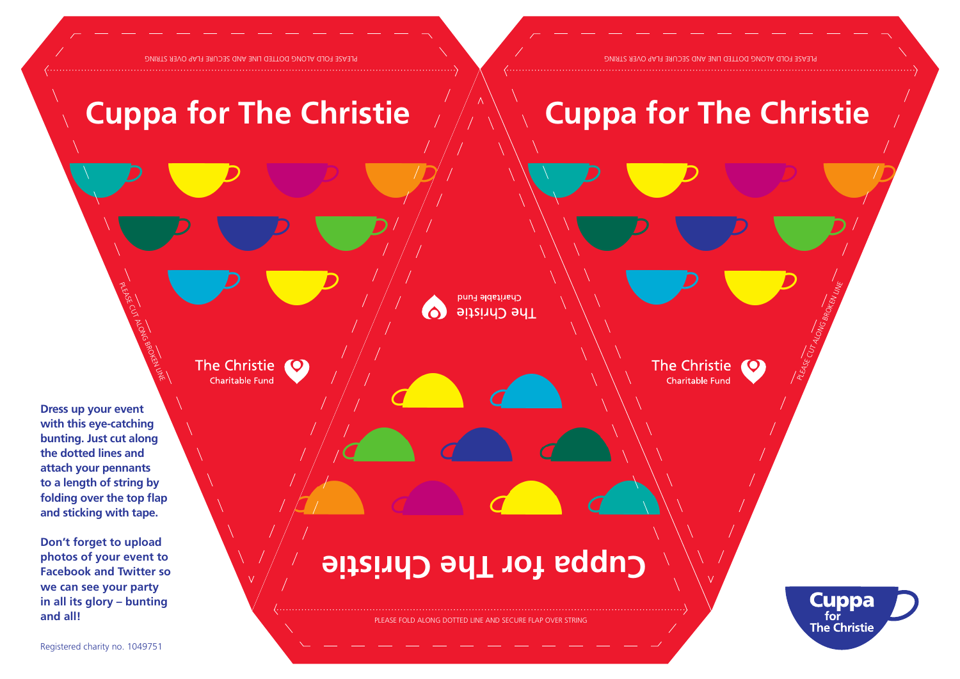PLEASE FOLD ALONG DOTTED LINE AND SECURE FLAP OVER STRING

PLEASE FOLD ALONG DOTTED LINE AND SECURE FLAP OVER STRING

## **Cuppa for The Christie**

## **Cuppa for The Christie**

The Christie

Charitable Fund

Charitable Fund 6 **Hhe Christie** 

The Christie Charitable Fund

**Dress up your event with this eye-catching bunting. Just cut along the dotted lines and attach your pennants to a length of string by folding over the top flap and sticking with tape.**

PLEASE CUT ALONG BROKEN LINE

**Don't forget to upload photos of your event to Facebook and Twitter so we can see your party in all its glory – bunting and all!**





PLEASE CUT ALONG BROKEN LINE